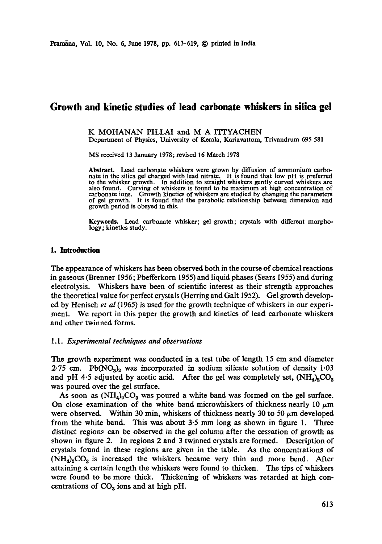# **Growth and kinetic studies of lead carbonate whiskers in silica gel**

K MOHANAN PILLAI and M A ITTYACHEN

Department of Physics, University of Kerala, Kariavattom, Trivandrum 695 581

MS received 13 January 1978; revised 16 March 1978

**Abstract.** Lead carbonate whiskers were grown by diffusion of ammonium carbonate in the silica gel charged with lead nitrate. It is found that low pH is preferred to the whisker growth. In addition to straight whiskers gently curved whiskers are also found. Curving of whiskers is found to be maximum at high concentration of carbonate ions. Growth kinetics of whiskers are studied by changing the parameters of gel growth. It is found that the parabolic relationship between dimension and growth period is obeyed in **this.** 

**Keywords.** Lead carbonate whisker; gel growth; crystals with different morphology; kinetics study.

#### **1. Introduction**

The appearance of whiskers has been observed both in the course of chemical reactions in gaseous (Brenner 1956; Pbefferkorn 1955) and liquid phases (Sears 1955) and during electrolysis. Whiskers have been of scientific interest as their strength approaches the theoretical value foc perfect crystals (Herring and Galt 1952). Gel growth developed by Henisch *et al* (1965) is used for the growth technique of whiskers in our experiment. We report in this paper the growth and kinetics of lead carbonate whiskers and other twinned forms.

#### 1.1. *Experimental techniques and observations*

The growth experiment was conducted in a test tube of length 15 cm and diameter 2.75 cm. Pb( $NO<sub>3</sub>$ )<sub>2</sub> was incorporated in sodium silicate solution of density 1.03 and pH 4.5 adjusted by acetic acid. After the gel was completely set,  $(NH_4)_2CO_3$ was poured over the gel surface.

As soon as  $(NH_4)_2CO_3$  was poured a white band was formed on the gel surface. On close examination of the white band microwhiskers of thickness nearly 10  $\mu$ m were observed. Within 30 min, whiskers of thickness nearly 30 to 50  $\mu$ m developed from the white band. This was about 3.5 mm long as shown in figure 1. Three distinct regions can be observed in the gel column after the cessation of growth as shown in figure 2. In regions 2 and 3 twinned crystals are formed. Description of crystals found in these regions are given in the table. As the concentrations of  $(NH<sub>4</sub>)<sub>2</sub>CO<sub>3</sub>$  is increased the whiskers became very thin and more bend. After attaining a certain length the whiskers were found to thicken. The tips of whiskers were found to be more thick. Thickening of whiskers was retarded at high concentrations of  $CO<sub>3</sub>$  ions and at high pH.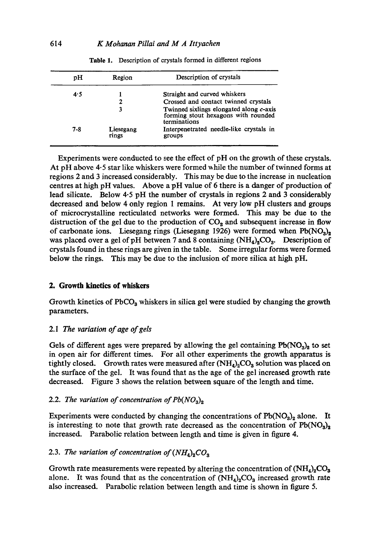| рH  | Region             | Description of crystals                                                                        |
|-----|--------------------|------------------------------------------------------------------------------------------------|
| 4.5 |                    | Straight and curved whiskers                                                                   |
|     | 2                  | Crossed and contact twinned crystals                                                           |
|     | 3                  | Twinned sixlings elongated along c-axis<br>forming stout hexagons with rounded<br>terminations |
| 7-8 | Liesegang<br>rings | Interpenetrated needle-like crystals in<br>groups                                              |

**Table** 1. Description of crystals formed in different regions

Experiments were conducted to see the effect of pH on the growth of these crystals. At pH above 4.5 star like whiskers were formed while the number of twinned forms at regions 2 and 3 increased considerably. This may be due to the increase in nucleation centres at high pH values. Above a pH value of 6 there is a danger of production of lead silicate. Below 4.5 pH the number of crystals in regions 2 and 3 considerably decreased and below 4 only region 1 remains. At very low pH clusters and groups of microcrystalline recticulated networks were formed. This may be due to the distruction of the gel due to the production of  $CO<sub>2</sub>$  and subsequent increase in flow of carbonate ions. Liesegang rings (Liesegang 1926) were formed when  $Pb(NO<sub>3</sub>)<sub>2</sub>$ was placed over a gel of pH between 7 and 8 containing  $(NH_4)_2CO_3$ . Description of crystals found in these rings are given in the table. Some irregular forms were formed below the rings. This may be due to the inclusion of more silica at high pH.

### **2. Growth kinetics of whiskers**

Growth kinetics of  $PbCO<sub>3</sub>$  whiskers in silica gel were studied by changing the growth parameters.

# 2.1 The *variation of age of gels*

Gels of different ages were prepared by allowing the gel containing  $Pb(NO<sub>3</sub>)<sub>2</sub>$  to set in open air for different times. For all other experiments the growth apparatus is tightly closed. Growth rates were measured after  $(NH_4)_2CO_3$  solution was placed on the surface of the gel. It was found that as the age of the gel increased growth rate decreased. Figure 3 shows the relation between square of the length and time.

## 2.2. The variation of concentration of  $Pb(NO<sub>3</sub>)<sub>2</sub>$

Experiments were conducted by changing the concentrations of  $Pb(NO<sub>3</sub>)<sub>2</sub>$  alone. It is interesting to note that growth rate decreased as the concentration of  $Pb(NO<sub>3</sub>)<sub>2</sub>$ increased. Parabolic relation between length and time is given in figure 4.

## 2.3. The variation of concentration of  $(NH_4)_2CO_3$

Growth rate measurements were repeated by altering the concentration of  $(\text{NH}_4)_{2}\text{CO}_3$ alone. It was found that as the concentration of  $(NH_4)_2CO_3$  increased growth rate also increased. Parabolic relation between length and time is shown in figure 5.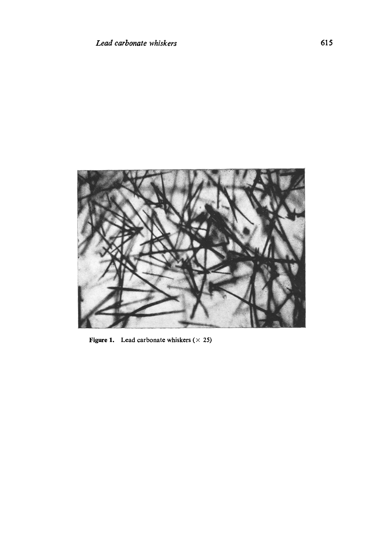

Figure 1. Lead carbonate whiskers  $(\times 25)$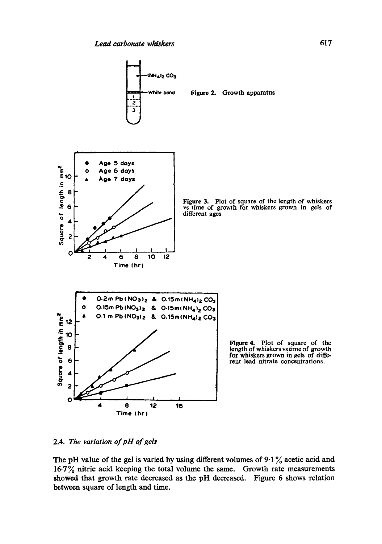

Figure 3. Plot of square of the length of whiskers vs time of growth for whiskers grown in gels of

2.4. *The variation of pH of gels* 

The pH value of the gel is varied by using different volumes of  $9.1\%$  acetic acid and 16-7% nitric acid keeping the total volume the same. Growth rate measurements showed that growth rate decreased as the pH decreased. Figure 6 shows relation between square of length and time.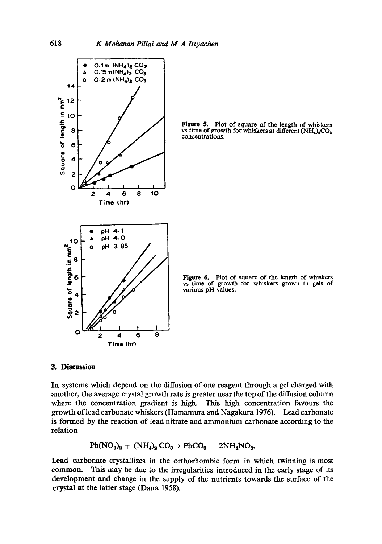

**Figure 5.** Plot of square of the length of whiskers vs time of growth for whiskers at different  $(NH_4)_2CO_3$ concentrations.

Figure 6. Plot of square of the length of whiskers vs time of growth for whiskers grown in gels of various pH values.

## **3. Discussion**

In systems which depend on the diffusion of one reagent through a gel charged with another, the average crystal growth rate is greater near the top of the diffusion column where the concentration gradient is high. This high concentration favours the growth of lead carbonate whiskers (Hamamura and Nagakura 1976). Lead carbonate is formed by the reaction of lead nitrate and ammonium carbonate according to the relation

$$
\mathrm{Pb}(\mathrm{NO_3})_2 + (\mathrm{NH_4})_2\,\mathrm{CO_3} \rightarrow \mathrm{PbCO_3} + 2\mathrm{NH_4SO_3}.
$$

Lead carbonate crystallizes in the orthorhombic form in which twinning is most common. This may be due to the irregularities introduced in the early stage of its development and change in the supply of the nutrients towards the surface of the crystal at the latter stage (Dana 1958).